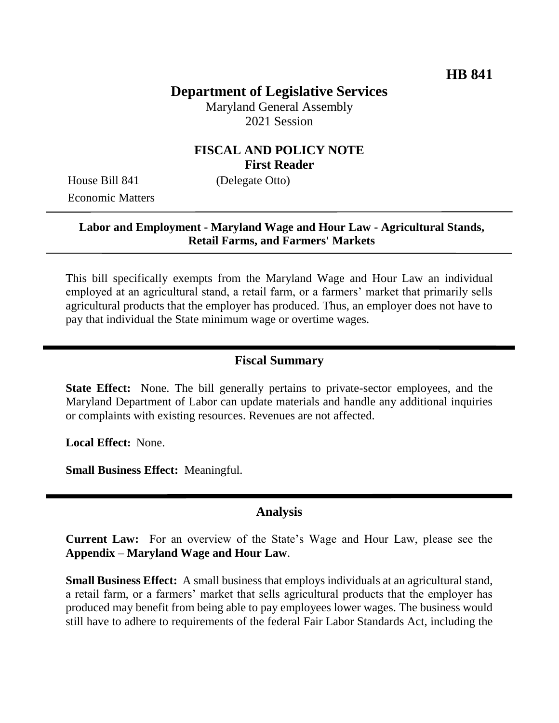## **Department of Legislative Services**

Maryland General Assembly 2021 Session

### **FISCAL AND POLICY NOTE First Reader**

House Bill 841 (Delegate Otto) Economic Matters

#### **Labor and Employment - Maryland Wage and Hour Law - Agricultural Stands, Retail Farms, and Farmers' Markets**

This bill specifically exempts from the Maryland Wage and Hour Law an individual employed at an agricultural stand, a retail farm, or a farmers' market that primarily sells agricultural products that the employer has produced. Thus, an employer does not have to pay that individual the State minimum wage or overtime wages.

### **Fiscal Summary**

**State Effect:** None. The bill generally pertains to private-sector employees, and the Maryland Department of Labor can update materials and handle any additional inquiries or complaints with existing resources. Revenues are not affected.

**Local Effect:** None.

**Small Business Effect:** Meaningful.

#### **Analysis**

**Current Law:** For an overview of the State's Wage and Hour Law, please see the **Appendix – Maryland Wage and Hour Law**.

**Small Business Effect:** A small business that employs individuals at an agricultural stand, a retail farm, or a farmers' market that sells agricultural products that the employer has produced may benefit from being able to pay employees lower wages. The business would still have to adhere to requirements of the federal Fair Labor Standards Act, including the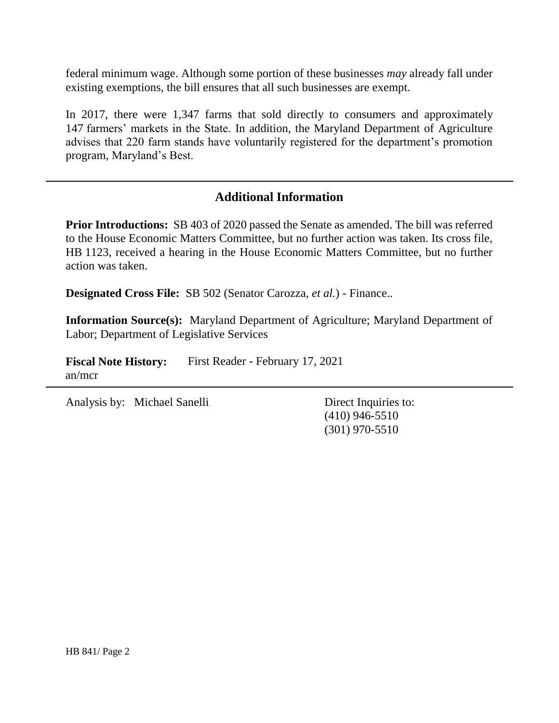federal minimum wage. Although some portion of these businesses *may* already fall under existing exemptions, the bill ensures that all such businesses are exempt.

In 2017, there were 1,347 farms that sold directly to consumers and approximately 147 farmers' markets in the State. In addition, the Maryland Department of Agriculture advises that 220 farm stands have voluntarily registered for the department's promotion program, Maryland's Best.

### **Additional Information**

**Prior Introductions:** SB 403 of 2020 passed the Senate as amended. The bill was referred to the House Economic Matters Committee, but no further action was taken. Its cross file, HB 1123, received a hearing in the House Economic Matters Committee, but no further action was taken.

**Designated Cross File:** SB 502 (Senator Carozza, *et al.*) - Finance..

**Information Source(s):** Maryland Department of Agriculture; Maryland Department of Labor; Department of Legislative Services

Fiscal Note History: First Reader - February 17, 2021 an/mcr

Analysis by: Michael Sanelli Direct Inquiries to:

(410) 946-5510 (301) 970-5510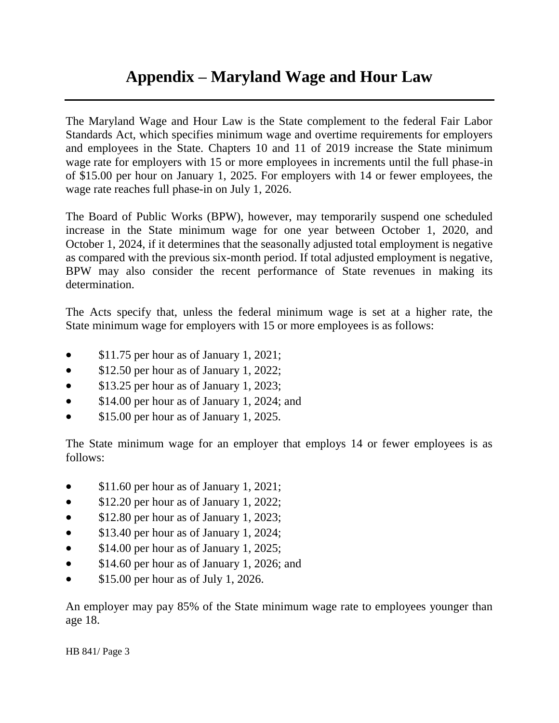# **Appendix – Maryland Wage and Hour Law**

The Maryland Wage and Hour Law is the State complement to the federal Fair Labor Standards Act, which specifies minimum wage and overtime requirements for employers and employees in the State. Chapters 10 and 11 of 2019 increase the State minimum wage rate for employers with 15 or more employees in increments until the full phase-in of \$15.00 per hour on January 1, 2025. For employers with 14 or fewer employees, the wage rate reaches full phase-in on July 1, 2026.

The Board of Public Works (BPW), however, may temporarily suspend one scheduled increase in the State minimum wage for one year between October 1, 2020, and October 1, 2024, if it determines that the seasonally adjusted total employment is negative as compared with the previous six-month period. If total adjusted employment is negative, BPW may also consider the recent performance of State revenues in making its determination.

The Acts specify that, unless the federal minimum wage is set at a higher rate, the State minimum wage for employers with 15 or more employees is as follows:

- \$11.75 per hour as of January 1, 2021;
- \$12.50 per hour as of January 1, 2022;
- \$13.25 per hour as of January 1, 2023;
- \$14.00 per hour as of January 1, 2024; and
- **S15.00 per hour as of January 1, 2025.**

The State minimum wage for an employer that employs 14 or fewer employees is as follows:

- \$11.60 per hour as of January 1, 2021;
- \$12.20 per hour as of January 1, 2022;
- \$12.80 per hour as of January 1, 2023;
- \$13.40 per hour as of January 1, 2024;
- \$14.00 per hour as of January 1, 2025;
- \$14.60 per hour as of January 1, 2026; and
- $\bullet$  \$15.00 per hour as of July 1, 2026.

An employer may pay 85% of the State minimum wage rate to employees younger than age 18.

HB 841/ Page 3